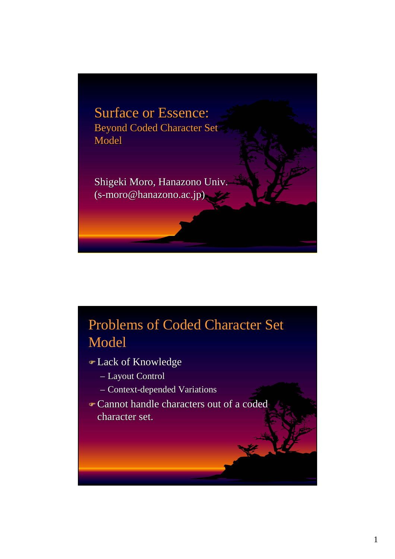Surface or Essence: Surface or Essence: Beyond Coded Character Set Beyond Coded Character Set Model Model

Shigeki Moro, Hanazono Univ. (s-moro@hanazono.ac.jp)

#### Problems of Coded Character Set Model

- $\bullet$  Lack of Knowledge
	- Layout Control Layout Control
	- $-$  Context-depended Variations
- )Cannot handle characters out of a coded Cannot handle characters out of a coded character set.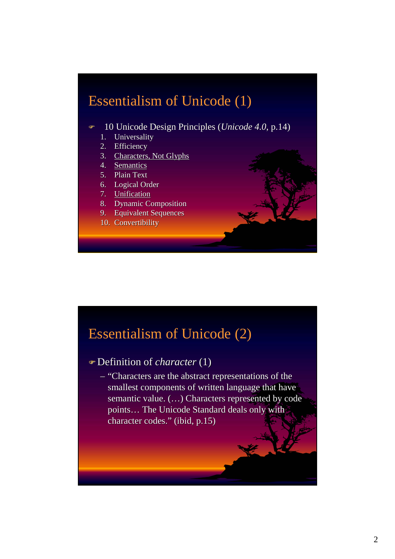#### Essentialism of Unicode (1)

- 10 Unicode Design Principles (*Unicode 4.0*, p.14)
	- 1. Universality
	- 2. Efficiency
	- 3. Characters, Not Glyphs
	- 4. Semantics
	- 5. Plain Text
	- 6. Logical Order
	- 7. Unification
	- 8. Dynamic Composition
	- 9. Equivalent Sequences
	- 10. Convertibility

#### Essentialism of Unicode (2)

- Definition of *character* (1)
	- $-$  "Characters are the abstract representations of the smallest components of written language that have semantic value.  $(...)$  Characters represented by code points... The Unicode Standard deals only with character codes." (ibid, p.15)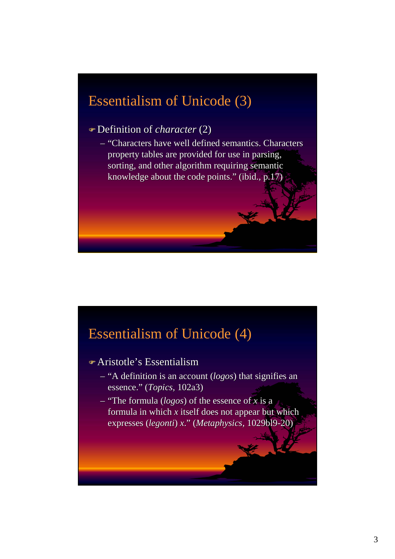### Essentialism of Unicode (3)

#### )Definition of Definition of *character character* (2)

 $-$  "Characters have well defined semantics. Characters property tables are provided for use in parsing, sorting, and other algorithm requiring semantic knowledge about the code points." (ibid.,  $p.17$ )

#### Essentialism of Unicode (4)

- $\bullet$  Aristotle's Essentialism
	- $-$  "A definition is an account ( $logos$ ) that signifies an essence." (*Topics*, 102a3)
	- $-$  "The formula (*logos*) of the essence of *x* is a formula in which  $x$  itself does not appear but which expresses (*legonti*) *x*." (*Metaphysics*, 1029bl9-20)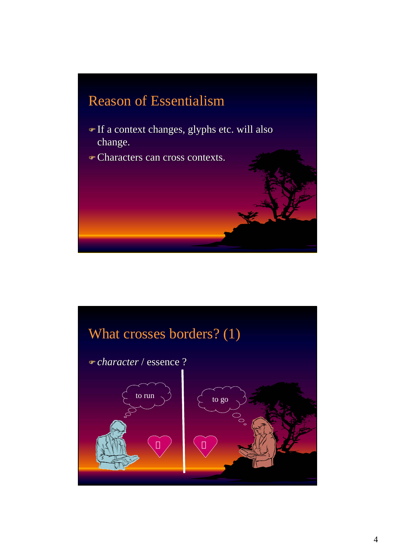# Reason of Essentialism )If a context changes, glyphs etc. will also If a context changes, glyphs etc. will also change. )Characters can cross contexts. Characters can cross contexts.

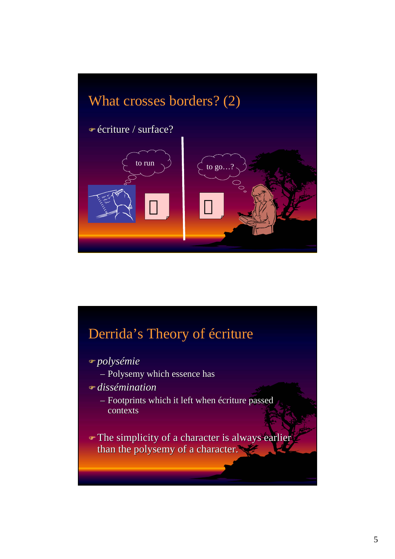

#### Derrida's Theory of écriture

)*polysémie*

- Polysemy which essence has
- )*dissémination mination*
	- $-$  Footprints which it left when écriture passed contexts

 $\blacktriangleright$  The simplicity of a character is always earlier than the polysemy of a character.  $\blacktriangleright$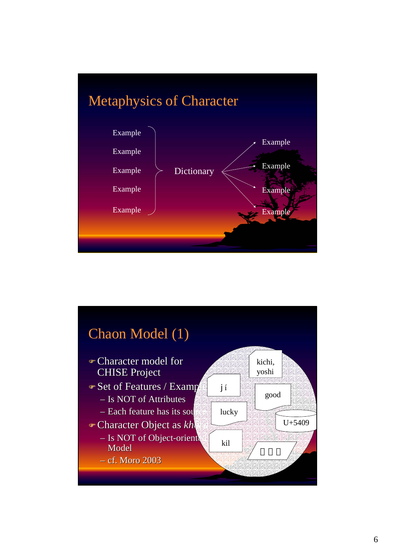

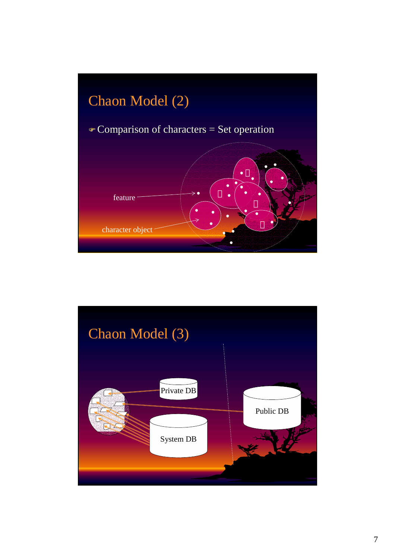

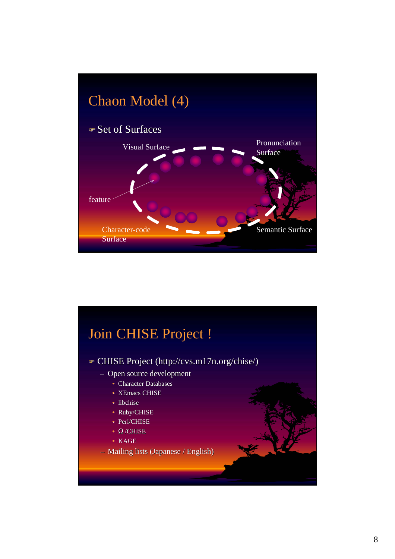

## Join CHISE Project !

- CHISE Project (http://cvs.m17n.org/chise/)
	- $-$  Open source development
		- Character Databases
		- XEmacs CHISE
		- libchise
		- Ruby/CHISE
		- Perl/CHISE
		- /CHISE
		- KAGE
	- $-$  Mailing lists (Japanese / English)